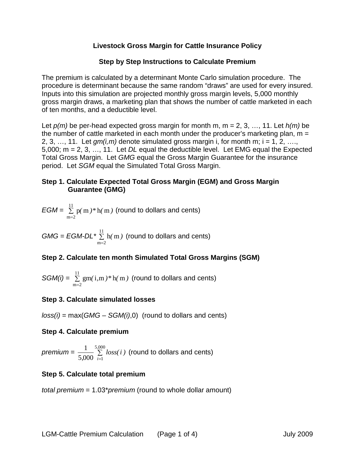## **Livestock Gross Margin for Cattle Insurance Policy**

## **Step by Step Instructions to Calculate Premium**

The premium is calculated by a determinant Monte Carlo simulation procedure. The procedure is determinant because the same random "draws" are used for every insured. Inputs into this simulation are projected monthly gross margin levels, 5,000 monthly gross margin draws, a marketing plan that shows the number of cattle marketed in each of ten months, and a deductible level.

Let *p(m)* be per-head expected gross margin for month m, m = 2, 3, …, 11. Let *h(m)* be the number of cattle marketed in each month under the producer's marketing plan,  $m =$ 2, 3, ..., 11. Let  $qm(i,m)$  denote simulated gross margin i, for month m;  $i = 1, 2, \ldots$ 5,000; m = 2, 3, …, 11. Let *DL* equal the deductible level. Let EMG equal the Expected Total Gross Margin. Let *GMG* equal the Gross Margin Guarantee for the insurance period. Let *SGM* equal the Simulated Total Gross Margin.

## **Step 1. Calculate Expected Total Gross Margin (EGM) and Gross Margin Guarantee (GMG)**

$$
EGM = \sum_{m=2}^{11} p(m)*h(m)
$$
 (round to dollars and cents)

 $GMG = EGM-DL * \frac{11}{2}$  $m = 2$ h m*( )* =  $\Sigma$  h(m) (round to dollars and cents)

# **Step 2. Calculate ten month Simulated Total Gross Margins (SGM)**

$$
SGM(i) = \sum_{m=2}^{11} gm(i, m) * h(m)
$$
 (round to dollars and cents)

# **Step 3. Calculate simulated losses**

*loss(i)* = max(*GMG* – *SGM(i)*,0) (round to dollars and cents)

### **Step 4. Calculate premium**

*premium* =  $\frac{1}{5,000}$  ∑ = 5 000 5,000  $\sum_{i=1}$ 1 *,*  $\frac{1}{i}$   $\sum_{i=1}$  *loss(i)* (round to dollars and cents)

# **Step 5. Calculate total premium**

*total premium* = 1.03\**premium* (round to whole dollar amount)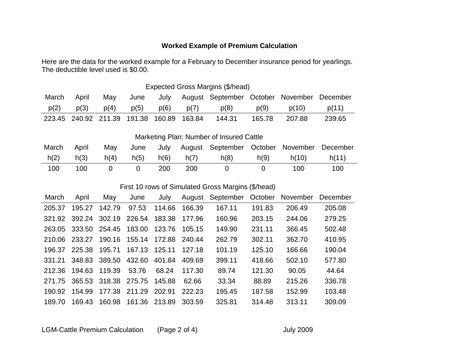# **Worked Example of Premium Calculation**

Here are the data for the worked example for a February to December insurance period for yearlings. The deductible level used is \$0.00.

| Expected Gross Margins (\$/head) |       |                             |      |        |        |                                            |        |        |        |
|----------------------------------|-------|-----------------------------|------|--------|--------|--------------------------------------------|--------|--------|--------|
| March                            | April | Mav                         | June | July   |        | August September October November December |        |        |        |
| p(2)                             | p(3)  | p(4)                        | p(5) | p(6)   | p(7)   | p(8)                                       | p(9)   | p(10)  | p(11)  |
|                                  |       | 223.45 240.92 211.39 191.38 |      | 160.89 | 163.84 | 144.31                                     | 165.78 | 207.88 | 239.65 |

Marketing Plan: Number of Insured Cattle

| March | April | May  | June | July |                | August September October November December |      |       |       |
|-------|-------|------|------|------|----------------|--------------------------------------------|------|-------|-------|
| h(2)  | h(3)  | h(4) | h(5) | h(6) | $\cdot$ , h(7) | h(8)                                       | h(9) | h(10) | h(11) |
| 100   | 100   |      |      | 200  | 200            |                                            |      | 100   | 100   |

### First 10 rows of Simulated Gross Margins (\$/head)

| March  | April  | May    | June   | July          | August | September | October | November | December |
|--------|--------|--------|--------|---------------|--------|-----------|---------|----------|----------|
| 205.37 | 195.27 | 142.79 | 97.53  | 114.66        | 166.39 | 167.11    | 191.83  | 206.49   | 205.08   |
| 321.92 | 392.24 | 302.19 | 226.54 | 183.38        | 177.96 | 160.96    | 203.15  | 244.06   | 279.25   |
| 263.05 | 333.50 | 254.45 | 183.00 | 123.76        | 105.15 | 149.90    | 231.11  | 366.45   | 502.48   |
| 210.06 | 233.27 | 190.16 | 155.14 | 172.88        | 240.44 | 262.79    | 302.11  | 362.70   | 410.95   |
| 196.37 | 225.38 | 195.71 | 167.13 | 125.11        | 127.18 | 101.19    | 125.10  | 166.66   | 190.04   |
| 331.21 | 348.83 | 389.50 | 432.60 | 401.84        | 409.69 | 399.11    | 418.66  | 502.10   | 577.80   |
| 212.36 | 194.63 | 119.39 | 53.76  | 68.24         | 117.30 | 89.74     | 121.30  | 90.05    | 44.64    |
| 271.75 | 365.53 | 318.38 | 275.75 | 145.88        | 62.66  | 33.34     | 88.89   | 215.26   | 336.78   |
| 190.92 | 154.99 | 177.38 | 211.29 | 202.91        | 222.23 | 195.45    | 187.58  | 152.99   | 103.48   |
| 189.70 | 169.43 | 160.98 |        | 161.36 213.89 | 303.59 | 325.81    | 314.48  | 313.11   | 309.09   |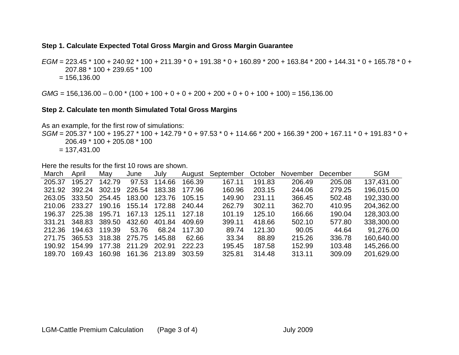#### **Step 1. Calculate Expected Total Gross Margin and Gross Margin Guarantee**

*EGM* = 223.45 \* 100 + 240.92 \* 100 + 211.39 \* 0 + 191.38 \* 0 + 160.89 \* 200 + 163.84 \* 200 + 144.31 \* 0 + 165.78 \* 0 + 207.88 \* 100 + 239.65 \* 100  $= 156, 136.00$ 

*GMG* = 156,136.00 – 0.00 \* (100 + 100 + 0 + 0 + 200 + 200 + 0 + 0 + 100 + 100) = 156,136.00

#### **Step 2. Calculate ten month Simulated Total Gross Margins**

As an example, for the first row of simulations:

*SGM* = 205.37 \* 100 + 195.27 \* 100 + 142.79 \* 0 + 97.53 \* 0 + 114.66 \* 200 + 166.39 \* 200 + 167.11 \* 0 + 191.83 \* 0 + 206.49 \* 100 + 205.08 \* 100  $= 137,431.00$ 

Here the results for the first 10 rows are shown.

| March  | April  | May    | June   | July   | August | September | October | November | December | <b>SGM</b> |
|--------|--------|--------|--------|--------|--------|-----------|---------|----------|----------|------------|
| 205.37 | 195.27 | 142.79 | 97.53  | 114.66 | 166.39 | 167.11    | 191.83  | 206.49   | 205.08   | 137,431.00 |
| 321.92 | 392.24 | 302.19 | 226.54 | 183.38 | 177.96 | 160.96    | 203.15  | 244.06   | 279.25   | 196,015.00 |
| 263.05 | 333.50 | 254.45 | 183.00 | 123.76 | 105.15 | 149.90    | 231.11  | 366.45   | 502.48   | 192,330.00 |
| 210.06 | 233.27 | 190.16 | 155.14 | 172.88 | 240.44 | 262.79    | 302.11  | 362.70   | 410.95   | 204,362.00 |
| 196.37 | 225.38 | 195.71 | 167.13 | 125.11 | 127.18 | 101.19    | 125.10  | 166.66   | 190.04   | 128,303.00 |
| 331.21 | 348.83 | 389.50 | 432.60 | 401.84 | 409.69 | 399.11    | 418.66  | 502.10   | 577.80   | 338,300.00 |
| 212.36 | 194.63 | 119.39 | 53.76  | 68.24  | 117.30 | 89.74     | 121.30  | 90.05    | 44.64    | 91,276.00  |
| 271.75 | 365.53 | 318.38 | 275.75 | 145.88 | 62.66  | 33.34     | 88.89   | 215.26   | 336.78   | 160,640.00 |
| 190.92 | 154.99 | 177.38 | 211.29 | 202.91 | 222.23 | 195.45    | 187.58  | 152.99   | 103.48   | 145,266.00 |
| 189.70 | 169.43 | 160.98 | 161.36 | 213.89 | 303.59 | 325.81    | 314.48  | 313.11   | 309.09   | 201,629.00 |